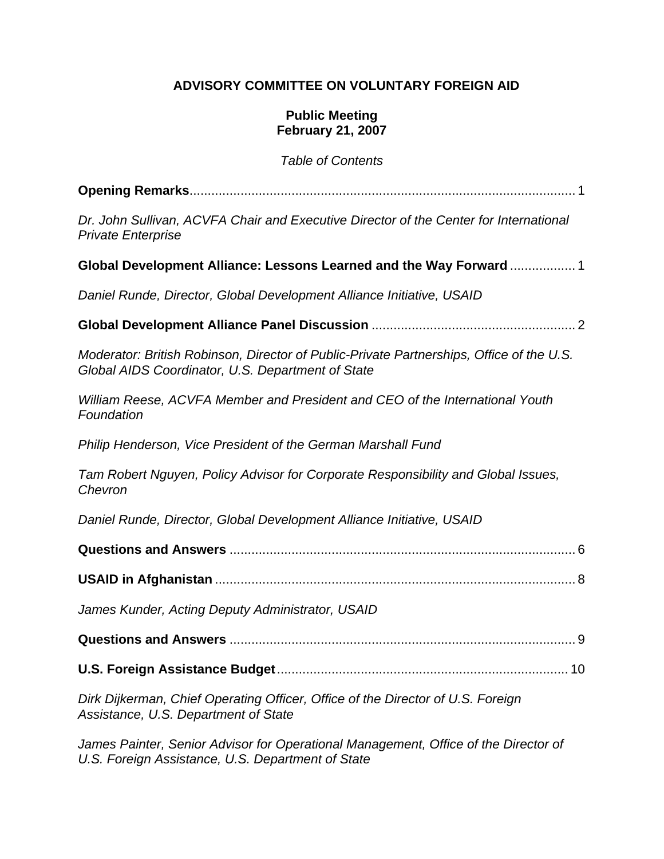# **ADVISORY COMMITTEE ON VOLUNTARY FOREIGN AID**

### **Public Meeting February 21, 2007**

*Table of Contents* 

| Dr. John Sullivan, ACVFA Chair and Executive Director of the Center for International<br><b>Private Enterprise</b>                            |
|-----------------------------------------------------------------------------------------------------------------------------------------------|
| Global Development Alliance: Lessons Learned and the Way Forward  1                                                                           |
| Daniel Runde, Director, Global Development Alliance Initiative, USAID                                                                         |
|                                                                                                                                               |
| Moderator: British Robinson, Director of Public-Private Partnerships, Office of the U.S.<br>Global AIDS Coordinator, U.S. Department of State |
| William Reese, ACVFA Member and President and CEO of the International Youth<br>Foundation                                                    |
| Philip Henderson, Vice President of the German Marshall Fund                                                                                  |
| Tam Robert Nguyen, Policy Advisor for Corporate Responsibility and Global Issues,<br>Chevron                                                  |
| Daniel Runde, Director, Global Development Alliance Initiative, USAID                                                                         |
|                                                                                                                                               |
|                                                                                                                                               |
| James Kunder, Acting Deputy Administrator, USAID                                                                                              |
|                                                                                                                                               |
|                                                                                                                                               |
| Dirk Dijkerman, Chief Operating Officer, Office of the Director of U.S. Foreign<br>Assistance, U.S. Department of State                       |

*James Painter, Senior Advisor for Operational Management, Office of the Director of U.S. Foreign Assistance, U.S. Department of State*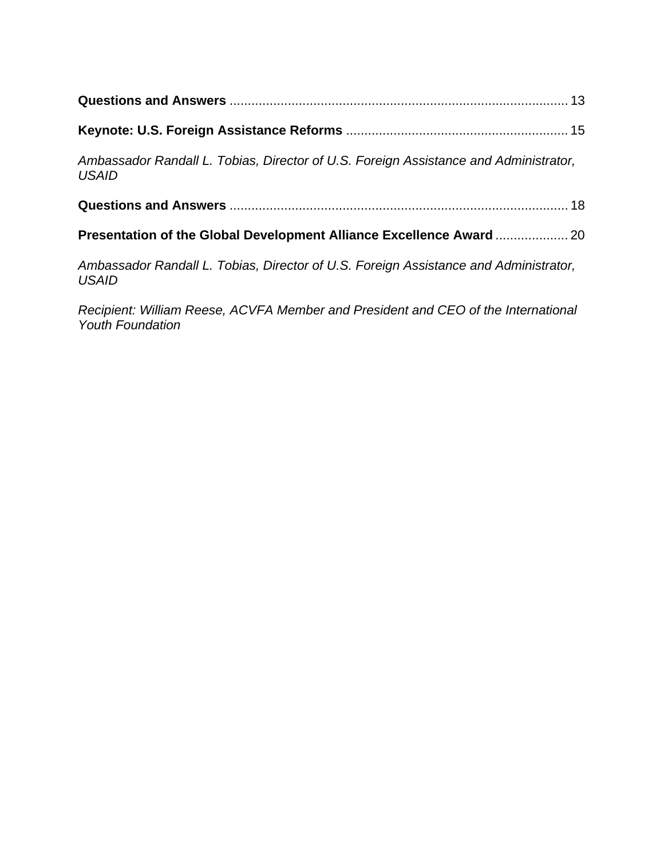| Ambassador Randall L. Tobias, Director of U.S. Foreign Assistance and Administrator,<br><b>USAID</b> |  |  |
|------------------------------------------------------------------------------------------------------|--|--|
|                                                                                                      |  |  |
|                                                                                                      |  |  |
| Ambassador Randall L. Tobias, Director of U.S. Foreign Assistance and Administrator,<br><b>USAID</b> |  |  |

*Recipient: William Reese, ACVFA Member and President and CEO of the International Youth Foundation*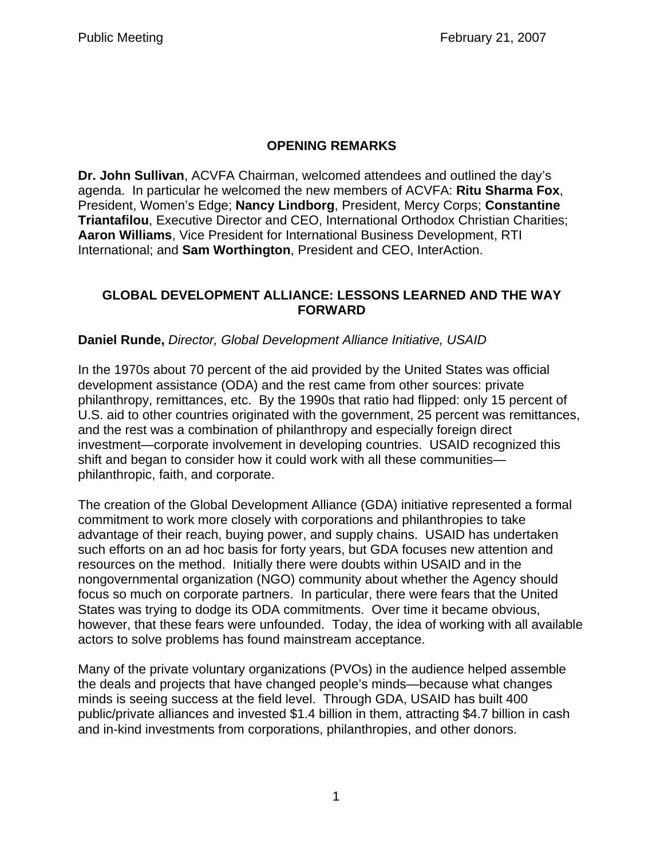## **OPENING REMARKS**

**Dr. John Sullivan**, ACVFA Chairman, welcomed attendees and outlined the day's agenda. In particular he welcomed the new members of ACVFA: **Ritu Sharma Fox**, President, Women's Edge; **Nancy Lindborg**, President, Mercy Corps; **Constantine Triantafilou**, Executive Director and CEO, International Orthodox Christian Charities; **Aaron Williams**, Vice President for International Business Development, RTI International; and **Sam Worthington**, President and CEO, InterAction.

### **GLOBAL DEVELOPMENT ALLIANCE: LESSONS LEARNED AND THE WAY FORWARD**

### **Daniel Runde,** *Director, Global Development Alliance Initiative, USAID*

In the 1970s about 70 percent of the aid provided by the United States was official development assistance (ODA) and the rest came from other sources: private philanthropy, remittances, etc. By the 1990s that ratio had flipped: only 15 percent of U.S. aid to other countries originated with the government, 25 percent was remittances, and the rest was a combination of philanthropy and especially foreign direct investment—corporate involvement in developing countries. USAID recognized this shift and began to consider how it could work with all these communities philanthropic, faith, and corporate.

The creation of the Global Development Alliance (GDA) initiative represented a formal commitment to work more closely with corporations and philanthropies to take advantage of their reach, buying power, and supply chains. USAID has undertaken such efforts on an ad hoc basis for forty years, but GDA focuses new attention and resources on the method. Initially there were doubts within USAID and in the nongovernmental organization (NGO) community about whether the Agency should focus so much on corporate partners. In particular, there were fears that the United States was trying to dodge its ODA commitments. Over time it became obvious, however, that these fears were unfounded. Today, the idea of working with all available actors to solve problems has found mainstream acceptance.

Many of the private voluntary organizations (PVOs) in the audience helped assemble the deals and projects that have changed people's minds—because what changes minds is seeing success at the field level. Through GDA, USAID has built 400 public/private alliances and invested \$1.4 billion in them, attracting \$4.7 billion in cash and in-kind investments from corporations, philanthropies, and other donors.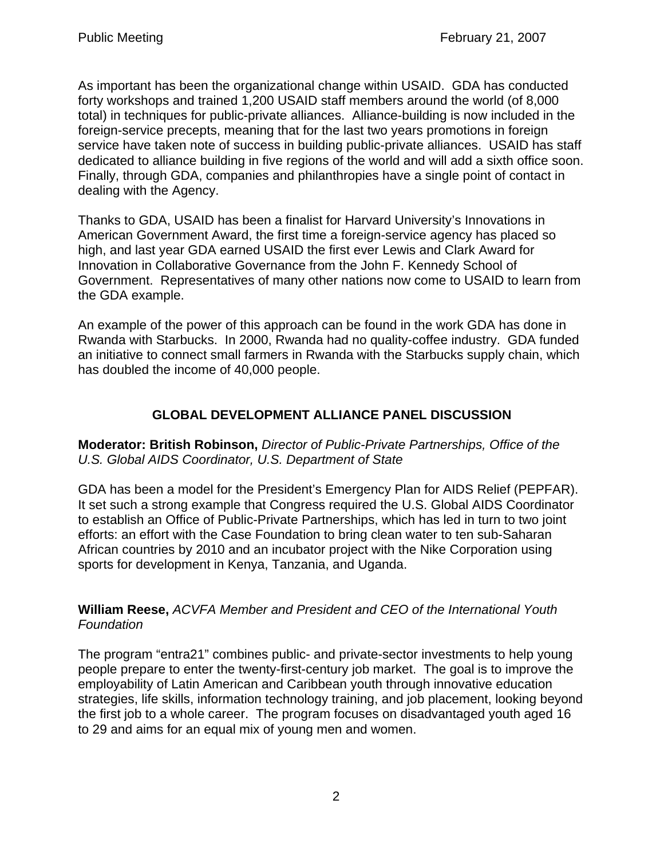As important has been the organizational change within USAID. GDA has conducted forty workshops and trained 1,200 USAID staff members around the world (of 8,000 total) in techniques for public-private alliances. Alliance-building is now included in the foreign-service precepts, meaning that for the last two years promotions in foreign service have taken note of success in building public-private alliances. USAID has staff dedicated to alliance building in five regions of the world and will add a sixth office soon. Finally, through GDA, companies and philanthropies have a single point of contact in dealing with the Agency.

Thanks to GDA, USAID has been a finalist for Harvard University's Innovations in American Government Award, the first time a foreign-service agency has placed so high, and last year GDA earned USAID the first ever Lewis and Clark Award for Innovation in Collaborative Governance from the John F. Kennedy School of Government. Representatives of many other nations now come to USAID to learn from the GDA example.

An example of the power of this approach can be found in the work GDA has done in Rwanda with Starbucks. In 2000, Rwanda had no quality-coffee industry. GDA funded an initiative to connect small farmers in Rwanda with the Starbucks supply chain, which has doubled the income of 40,000 people.

# **GLOBAL DEVELOPMENT ALLIANCE PANEL DISCUSSION**

**Moderator: British Robinson,** *Director of Public-Private Partnerships, Office of the U.S. Global AIDS Coordinator, U.S. Department of State*

GDA has been a model for the President's Emergency Plan for AIDS Relief (PEPFAR). It set such a strong example that Congress required the U.S. Global AIDS Coordinator to establish an Office of Public-Private Partnerships, which has led in turn to two joint efforts: an effort with the Case Foundation to bring clean water to ten sub-Saharan African countries by 2010 and an incubator project with the Nike Corporation using sports for development in Kenya, Tanzania, and Uganda.

**William Reese,** *ACVFA Member and President and CEO of the International Youth Foundation*

The program "entra21" combines public- and private-sector investments to help young people prepare to enter the twenty-first-century job market. The goal is to improve the employability of Latin American and Caribbean youth through innovative education strategies, life skills, information technology training, and job placement, looking beyond the first job to a whole career. The program focuses on disadvantaged youth aged 16 to 29 and aims for an equal mix of young men and women.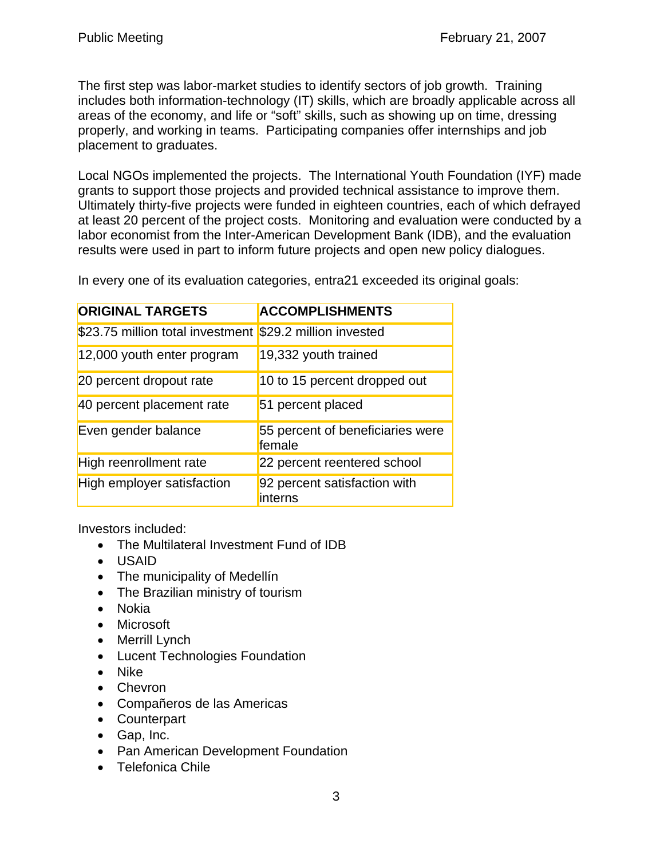The first step was labor-market studies to identify sectors of job growth. Training includes both information-technology (IT) skills, which are broadly applicable across all areas of the economy, and life or "soft" skills, such as showing up on time, dressing properly, and working in teams. Participating companies offer internships and job placement to graduates.

Local NGOs implemented the projects. The International Youth Foundation (IYF) made grants to support those projects and provided technical assistance to improve them. Ultimately thirty-five projects were funded in eighteen countries, each of which defrayed at least 20 percent of the project costs. Monitoring and evaluation were conducted by a labor economist from the Inter-American Development Bank (IDB), and the evaluation results were used in part to inform future projects and open new policy dialogues.

In every one of its evaluation categories, entra21 exceeded its original goals:

| <b>ORIGINAL TARGETS</b>          | <b>ACCOMPLISHMENTS</b>                     |
|----------------------------------|--------------------------------------------|
| \$23.75 million total investment | \$29.2 million invested                    |
| 12,000 youth enter program       | 19,332 youth trained                       |
| 20 percent dropout rate          | 10 to 15 percent dropped out               |
| 40 percent placement rate        | 51 percent placed                          |
| Even gender balance              | 55 percent of beneficiaries were<br>female |
| High reenrollment rate           | 22 percent reentered school                |
| High employer satisfaction       | 92 percent satisfaction with<br>interns    |

Investors included:

- The Multilateral Investment Fund of IDB
- USAID
- The municipality of Medellín
- The Brazilian ministry of tourism
- Nokia
- Microsoft
- Merrill Lynch
- Lucent Technologies Foundation
- Nike
- Chevron
- Compañeros de las Americas
- Counterpart
- Gap, Inc.
- Pan American Development Foundation
- Telefonica Chile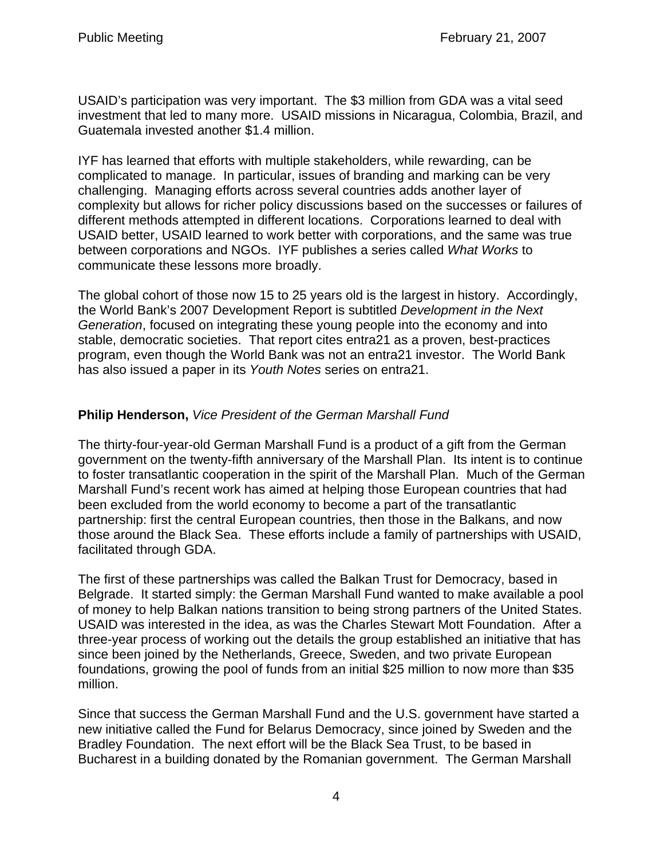USAID's participation was very important. The \$3 million from GDA was a vital seed investment that led to many more. USAID missions in Nicaragua, Colombia, Brazil, and Guatemala invested another \$1.4 million.

IYF has learned that efforts with multiple stakeholders, while rewarding, can be complicated to manage. In particular, issues of branding and marking can be very challenging. Managing efforts across several countries adds another layer of complexity but allows for richer policy discussions based on the successes or failures of different methods attempted in different locations. Corporations learned to deal with USAID better, USAID learned to work better with corporations, and the same was true between corporations and NGOs. IYF publishes a series called *What Works* to communicate these lessons more broadly.

The global cohort of those now 15 to 25 years old is the largest in history. Accordingly, the World Bank's 2007 Development Report is subtitled *Development in the Next Generation*, focused on integrating these young people into the economy and into stable, democratic societies. That report cites entra21 as a proven, best-practices program, even though the World Bank was not an entra21 investor. The World Bank has also issued a paper in its *Youth Notes* series on entra21.

# **Philip Henderson,** *Vice President of the German Marshall Fund*

The thirty-four-year-old German Marshall Fund is a product of a gift from the German government on the twenty-fifth anniversary of the Marshall Plan. Its intent is to continue to foster transatlantic cooperation in the spirit of the Marshall Plan. Much of the German Marshall Fund's recent work has aimed at helping those European countries that had been excluded from the world economy to become a part of the transatlantic partnership: first the central European countries, then those in the Balkans, and now those around the Black Sea. These efforts include a family of partnerships with USAID, facilitated through GDA.

The first of these partnerships was called the Balkan Trust for Democracy, based in Belgrade. It started simply: the German Marshall Fund wanted to make available a pool of money to help Balkan nations transition to being strong partners of the United States. USAID was interested in the idea, as was the Charles Stewart Mott Foundation. After a three-year process of working out the details the group established an initiative that has since been joined by the Netherlands, Greece, Sweden, and two private European foundations, growing the pool of funds from an initial \$25 million to now more than \$35 million.

Since that success the German Marshall Fund and the U.S. government have started a new initiative called the Fund for Belarus Democracy, since joined by Sweden and the Bradley Foundation. The next effort will be the Black Sea Trust, to be based in Bucharest in a building donated by the Romanian government. The German Marshall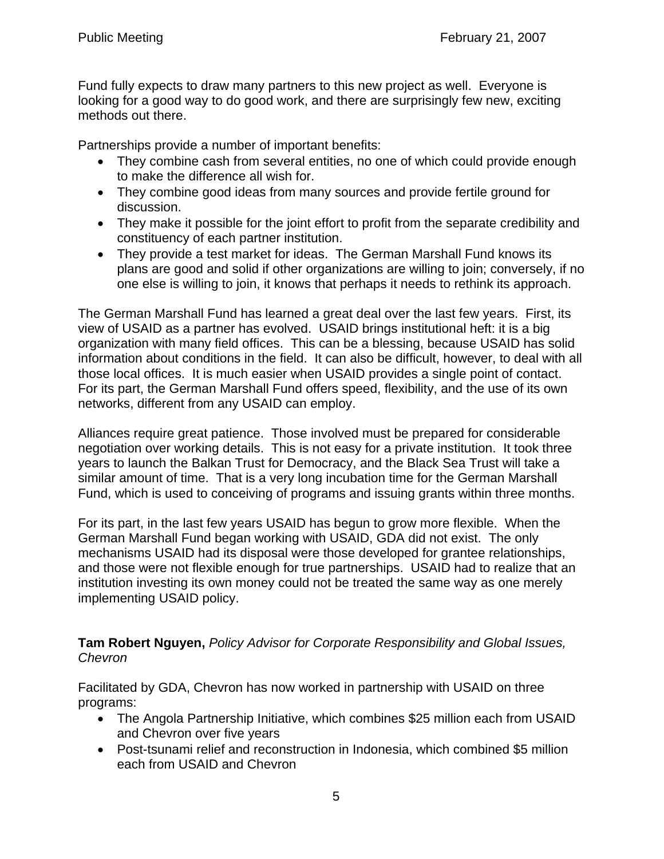Fund fully expects to draw many partners to this new project as well. Everyone is looking for a good way to do good work, and there are surprisingly few new, exciting methods out there.

Partnerships provide a number of important benefits:

- They combine cash from several entities, no one of which could provide enough to make the difference all wish for.
- They combine good ideas from many sources and provide fertile ground for discussion.
- They make it possible for the joint effort to profit from the separate credibility and constituency of each partner institution.
- They provide a test market for ideas. The German Marshall Fund knows its plans are good and solid if other organizations are willing to join; conversely, if no one else is willing to join, it knows that perhaps it needs to rethink its approach.

The German Marshall Fund has learned a great deal over the last few years. First, its view of USAID as a partner has evolved. USAID brings institutional heft: it is a big organization with many field offices. This can be a blessing, because USAID has solid information about conditions in the field. It can also be difficult, however, to deal with all those local offices. It is much easier when USAID provides a single point of contact. For its part, the German Marshall Fund offers speed, flexibility, and the use of its own networks, different from any USAID can employ.

Alliances require great patience. Those involved must be prepared for considerable negotiation over working details. This is not easy for a private institution. It took three years to launch the Balkan Trust for Democracy, and the Black Sea Trust will take a similar amount of time. That is a very long incubation time for the German Marshall Fund, which is used to conceiving of programs and issuing grants within three months.

For its part, in the last few years USAID has begun to grow more flexible. When the German Marshall Fund began working with USAID, GDA did not exist. The only mechanisms USAID had its disposal were those developed for grantee relationships, and those were not flexible enough for true partnerships. USAID had to realize that an institution investing its own money could not be treated the same way as one merely implementing USAID policy.

**Tam Robert Nguyen,** *Policy Advisor for Corporate Responsibility and Global Issues, Chevron*

Facilitated by GDA, Chevron has now worked in partnership with USAID on three programs:

- The Angola Partnership Initiative, which combines \$25 million each from USAID and Chevron over five years
- Post-tsunami relief and reconstruction in Indonesia, which combined \$5 million each from USAID and Chevron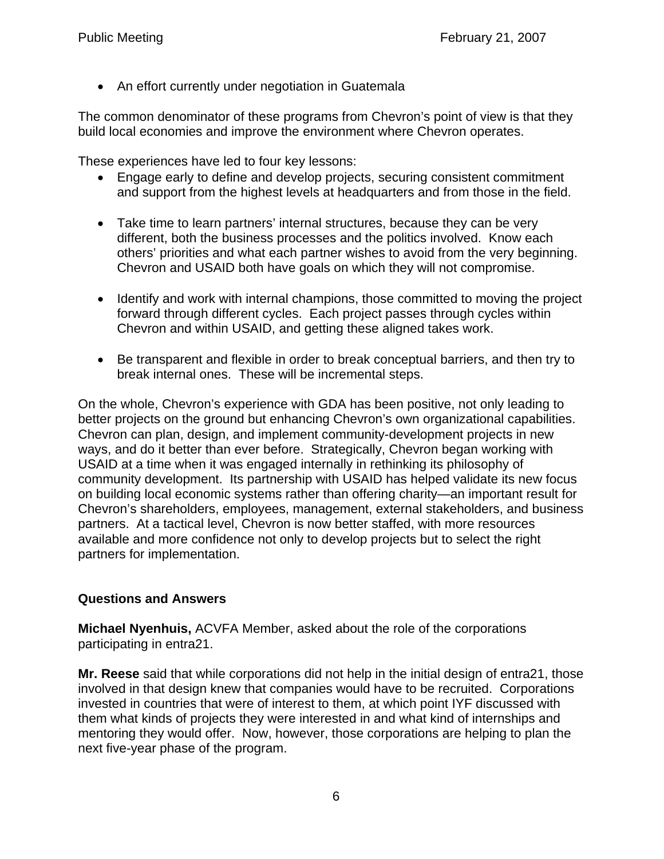• An effort currently under negotiation in Guatemala

The common denominator of these programs from Chevron's point of view is that they build local economies and improve the environment where Chevron operates.

These experiences have led to four key lessons:

- Engage early to define and develop projects, securing consistent commitment and support from the highest levels at headquarters and from those in the field.
- Take time to learn partners' internal structures, because they can be very different, both the business processes and the politics involved. Know each others' priorities and what each partner wishes to avoid from the very beginning. Chevron and USAID both have goals on which they will not compromise.
- Identify and work with internal champions, those committed to moving the project forward through different cycles. Each project passes through cycles within Chevron and within USAID, and getting these aligned takes work.
- Be transparent and flexible in order to break conceptual barriers, and then try to break internal ones. These will be incremental steps.

On the whole, Chevron's experience with GDA has been positive, not only leading to better projects on the ground but enhancing Chevron's own organizational capabilities. Chevron can plan, design, and implement community-development projects in new ways, and do it better than ever before. Strategically, Chevron began working with USAID at a time when it was engaged internally in rethinking its philosophy of community development. Its partnership with USAID has helped validate its new focus on building local economic systems rather than offering charity—an important result for Chevron's shareholders, employees, management, external stakeholders, and business partners. At a tactical level, Chevron is now better staffed, with more resources available and more confidence not only to develop projects but to select the right partners for implementation.

## **Questions and Answers**

**Michael Nyenhuis,** ACVFA Member, asked about the role of the corporations participating in entra21.

**Mr. Reese** said that while corporations did not help in the initial design of entra21, those involved in that design knew that companies would have to be recruited. Corporations invested in countries that were of interest to them, at which point IYF discussed with them what kinds of projects they were interested in and what kind of internships and mentoring they would offer. Now, however, those corporations are helping to plan the next five-year phase of the program.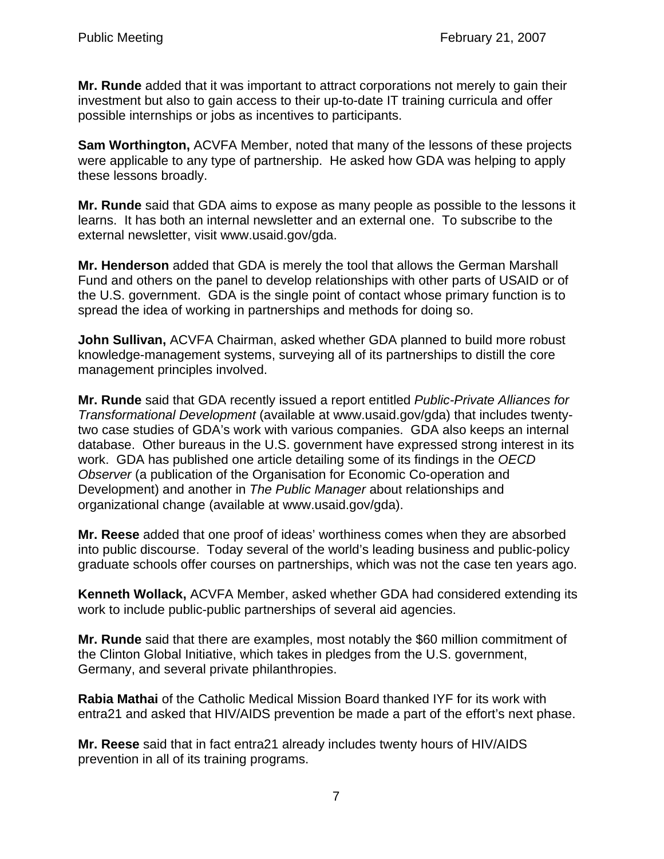**Mr. Runde** added that it was important to attract corporations not merely to gain their investment but also to gain access to their up-to-date IT training curricula and offer possible internships or jobs as incentives to participants.

**Sam Worthington,** ACVFA Member, noted that many of the lessons of these projects were applicable to any type of partnership. He asked how GDA was helping to apply these lessons broadly.

**Mr. Runde** said that GDA aims to expose as many people as possible to the lessons it learns. It has both an internal newsletter and an external one. To subscribe to the external newsletter, visit www.usaid.gov/gda.

**Mr. Henderson** added that GDA is merely the tool that allows the German Marshall Fund and others on the panel to develop relationships with other parts of USAID or of the U.S. government. GDA is the single point of contact whose primary function is to spread the idea of working in partnerships and methods for doing so.

**John Sullivan,** ACVFA Chairman, asked whether GDA planned to build more robust knowledge-management systems, surveying all of its partnerships to distill the core management principles involved.

**Mr. Runde** said that GDA recently issued a report entitled *Public-Private Alliances for Transformational Development* (available at www.usaid.gov/gda) that includes twentytwo case studies of GDA's work with various companies. GDA also keeps an internal database. Other bureaus in the U.S. government have expressed strong interest in its work. GDA has published one article detailing some of its findings in the *OECD Observer* (a publication of the Organisation for Economic Co-operation and Development) and another in *The Public Manager* about relationships and organizational change (available at www.usaid.gov/gda).

**Mr. Reese** added that one proof of ideas' worthiness comes when they are absorbed into public discourse. Today several of the world's leading business and public-policy graduate schools offer courses on partnerships, which was not the case ten years ago.

**Kenneth Wollack,** ACVFA Member, asked whether GDA had considered extending its work to include public-public partnerships of several aid agencies.

**Mr. Runde** said that there are examples, most notably the \$60 million commitment of the Clinton Global Initiative, which takes in pledges from the U.S. government, Germany, and several private philanthropies.

**Rabia Mathai** of the Catholic Medical Mission Board thanked IYF for its work with entra21 and asked that HIV/AIDS prevention be made a part of the effort's next phase.

**Mr. Reese** said that in fact entra21 already includes twenty hours of HIV/AIDS prevention in all of its training programs.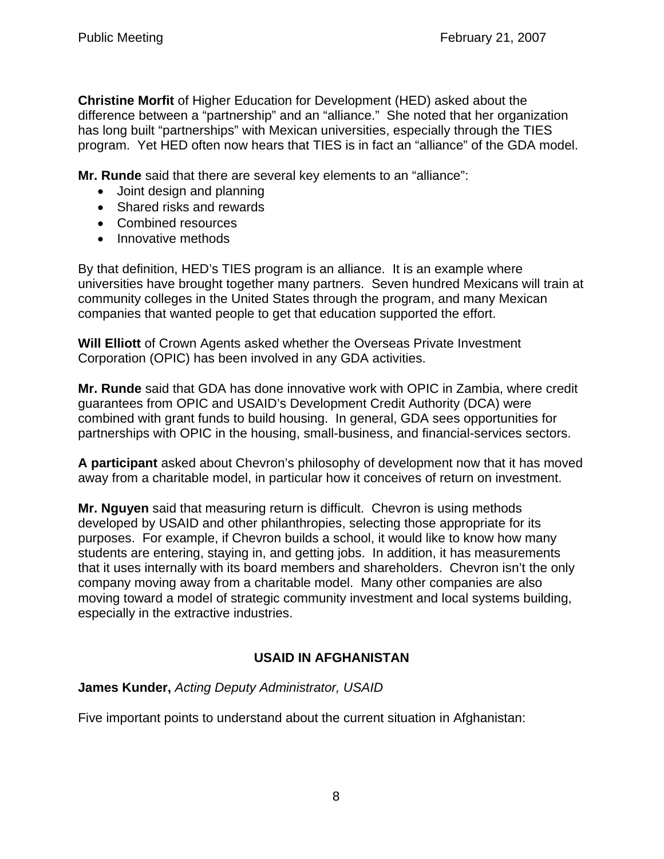**Christine Morfit** of Higher Education for Development (HED) asked about the difference between a "partnership" and an "alliance." She noted that her organization has long built "partnerships" with Mexican universities, especially through the TIES program. Yet HED often now hears that TIES is in fact an "alliance" of the GDA model.

**Mr. Runde** said that there are several key elements to an "alliance":

- Joint design and planning
- Shared risks and rewards
- Combined resources
- Innovative methods

By that definition, HED's TIES program is an alliance. It is an example where universities have brought together many partners. Seven hundred Mexicans will train at community colleges in the United States through the program, and many Mexican companies that wanted people to get that education supported the effort.

**Will Elliott** of Crown Agents asked whether the Overseas Private Investment Corporation (OPIC) has been involved in any GDA activities.

**Mr. Runde** said that GDA has done innovative work with OPIC in Zambia, where credit guarantees from OPIC and USAID's Development Credit Authority (DCA) were combined with grant funds to build housing. In general, GDA sees opportunities for partnerships with OPIC in the housing, small-business, and financial-services sectors.

**A participant** asked about Chevron's philosophy of development now that it has moved away from a charitable model, in particular how it conceives of return on investment.

**Mr. Nguyen** said that measuring return is difficult. Chevron is using methods developed by USAID and other philanthropies, selecting those appropriate for its purposes. For example, if Chevron builds a school, it would like to know how many students are entering, staying in, and getting jobs. In addition, it has measurements that it uses internally with its board members and shareholders. Chevron isn't the only company moving away from a charitable model. Many other companies are also moving toward a model of strategic community investment and local systems building, especially in the extractive industries.

# **USAID IN AFGHANISTAN**

# **James Kunder,** *Acting Deputy Administrator, USAID*

Five important points to understand about the current situation in Afghanistan: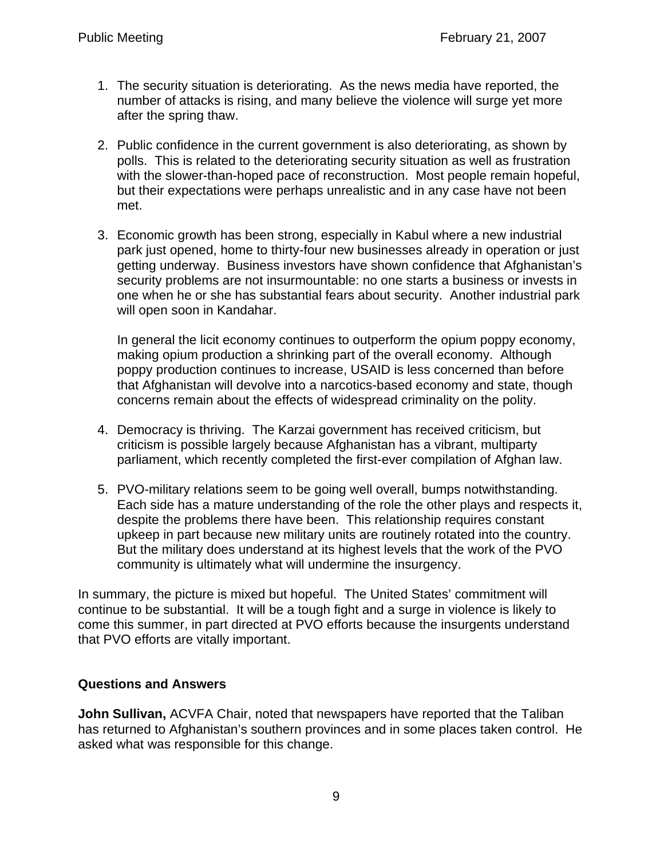- 1. The security situation is deteriorating. As the news media have reported, the number of attacks is rising, and many believe the violence will surge yet more after the spring thaw.
- 2. Public confidence in the current government is also deteriorating, as shown by polls. This is related to the deteriorating security situation as well as frustration with the slower-than-hoped pace of reconstruction. Most people remain hopeful, but their expectations were perhaps unrealistic and in any case have not been met.
- 3. Economic growth has been strong, especially in Kabul where a new industrial park just opened, home to thirty-four new businesses already in operation or just getting underway. Business investors have shown confidence that Afghanistan's security problems are not insurmountable: no one starts a business or invests in one when he or she has substantial fears about security. Another industrial park will open soon in Kandahar.

In general the licit economy continues to outperform the opium poppy economy, making opium production a shrinking part of the overall economy. Although poppy production continues to increase, USAID is less concerned than before that Afghanistan will devolve into a narcotics-based economy and state, though concerns remain about the effects of widespread criminality on the polity.

- 4. Democracy is thriving. The Karzai government has received criticism, but criticism is possible largely because Afghanistan has a vibrant, multiparty parliament, which recently completed the first-ever compilation of Afghan law.
- 5. PVO-military relations seem to be going well overall, bumps notwithstanding. Each side has a mature understanding of the role the other plays and respects it, despite the problems there have been. This relationship requires constant upkeep in part because new military units are routinely rotated into the country. But the military does understand at its highest levels that the work of the PVO community is ultimately what will undermine the insurgency.

In summary, the picture is mixed but hopeful. The United States' commitment will continue to be substantial. It will be a tough fight and a surge in violence is likely to come this summer, in part directed at PVO efforts because the insurgents understand that PVO efforts are vitally important.

### **Questions and Answers**

**John Sullivan,** ACVFA Chair, noted that newspapers have reported that the Taliban has returned to Afghanistan's southern provinces and in some places taken control. He asked what was responsible for this change.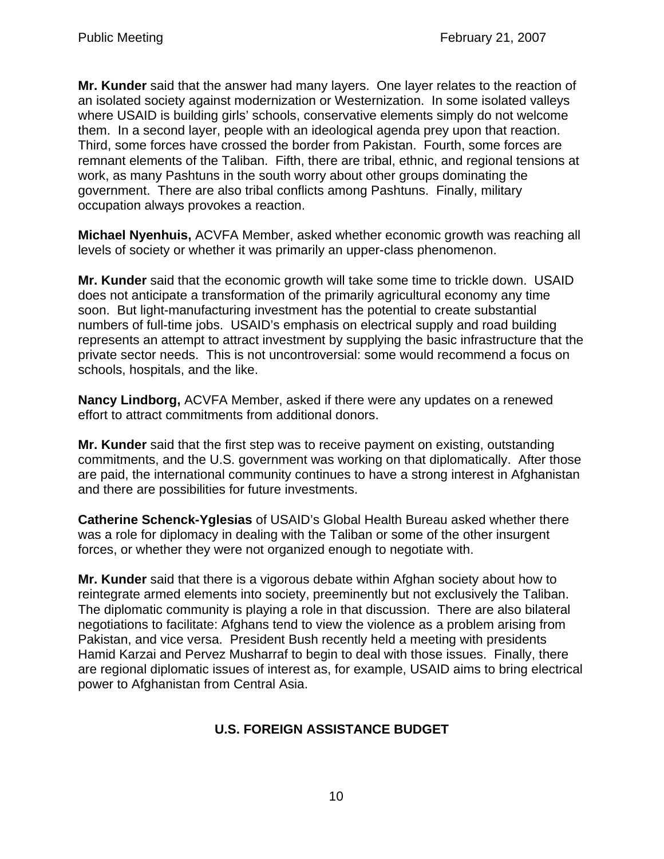**Mr. Kunder** said that the answer had many layers. One layer relates to the reaction of an isolated society against modernization or Westernization. In some isolated valleys where USAID is building girls' schools, conservative elements simply do not welcome them. In a second layer, people with an ideological agenda prey upon that reaction. Third, some forces have crossed the border from Pakistan. Fourth, some forces are remnant elements of the Taliban. Fifth, there are tribal, ethnic, and regional tensions at work, as many Pashtuns in the south worry about other groups dominating the government. There are also tribal conflicts among Pashtuns. Finally, military occupation always provokes a reaction.

**Michael Nyenhuis,** ACVFA Member, asked whether economic growth was reaching all levels of society or whether it was primarily an upper-class phenomenon.

**Mr. Kunder** said that the economic growth will take some time to trickle down. USAID does not anticipate a transformation of the primarily agricultural economy any time soon. But light-manufacturing investment has the potential to create substantial numbers of full-time jobs. USAID's emphasis on electrical supply and road building represents an attempt to attract investment by supplying the basic infrastructure that the private sector needs. This is not uncontroversial: some would recommend a focus on schools, hospitals, and the like.

**Nancy Lindborg,** ACVFA Member, asked if there were any updates on a renewed effort to attract commitments from additional donors.

**Mr. Kunder** said that the first step was to receive payment on existing, outstanding commitments, and the U.S. government was working on that diplomatically. After those are paid, the international community continues to have a strong interest in Afghanistan and there are possibilities for future investments.

**Catherine Schenck-Yglesias** of USAID's Global Health Bureau asked whether there was a role for diplomacy in dealing with the Taliban or some of the other insurgent forces, or whether they were not organized enough to negotiate with.

**Mr. Kunder** said that there is a vigorous debate within Afghan society about how to reintegrate armed elements into society, preeminently but not exclusively the Taliban. The diplomatic community is playing a role in that discussion. There are also bilateral negotiations to facilitate: Afghans tend to view the violence as a problem arising from Pakistan, and vice versa. President Bush recently held a meeting with presidents Hamid Karzai and Pervez Musharraf to begin to deal with those issues. Finally, there are regional diplomatic issues of interest as, for example, USAID aims to bring electrical power to Afghanistan from Central Asia.

# **U.S. FOREIGN ASSISTANCE BUDGET**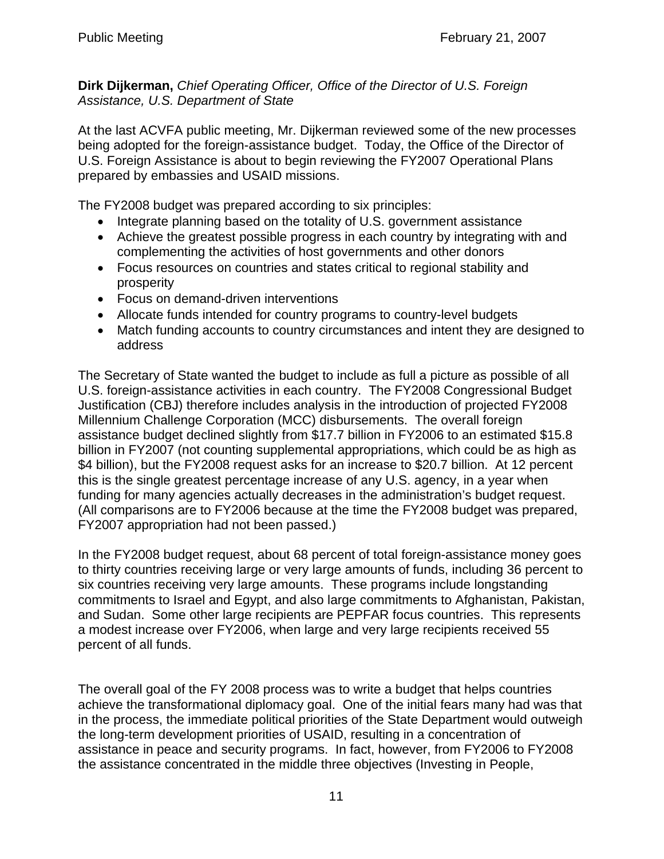**Dirk Dijkerman,** *Chief Operating Officer, Office of the Director of U.S. Foreign Assistance, U.S. Department of State* 

At the last ACVFA public meeting, Mr. Dijkerman reviewed some of the new processes being adopted for the foreign-assistance budget. Today, the Office of the Director of U.S. Foreign Assistance is about to begin reviewing the FY2007 Operational Plans prepared by embassies and USAID missions.

The FY2008 budget was prepared according to six principles:

- Integrate planning based on the totality of U.S. government assistance
- Achieve the greatest possible progress in each country by integrating with and complementing the activities of host governments and other donors
- Focus resources on countries and states critical to regional stability and prosperity
- Focus on demand-driven interventions
- Allocate funds intended for country programs to country-level budgets
- Match funding accounts to country circumstances and intent they are designed to address

The Secretary of State wanted the budget to include as full a picture as possible of all U.S. foreign-assistance activities in each country. The FY2008 Congressional Budget Justification (CBJ) therefore includes analysis in the introduction of projected FY2008 Millennium Challenge Corporation (MCC) disbursements. The overall foreign assistance budget declined slightly from \$17.7 billion in FY2006 to an estimated \$15.8 billion in FY2007 (not counting supplemental appropriations, which could be as high as \$4 billion), but the FY2008 request asks for an increase to \$20.7 billion. At 12 percent this is the single greatest percentage increase of any U.S. agency, in a year when funding for many agencies actually decreases in the administration's budget request. (All comparisons are to FY2006 because at the time the FY2008 budget was prepared, FY2007 appropriation had not been passed.)

In the FY2008 budget request, about 68 percent of total foreign-assistance money goes to thirty countries receiving large or very large amounts of funds, including 36 percent to six countries receiving very large amounts. These programs include longstanding commitments to Israel and Egypt, and also large commitments to Afghanistan, Pakistan, and Sudan. Some other large recipients are PEPFAR focus countries. This represents a modest increase over FY2006, when large and very large recipients received 55 percent of all funds.

The overall goal of the FY 2008 process was to write a budget that helps countries achieve the transformational diplomacy goal. One of the initial fears many had was that in the process, the immediate political priorities of the State Department would outweigh the long-term development priorities of USAID, resulting in a concentration of assistance in peace and security programs. In fact, however, from FY2006 to FY2008 the assistance concentrated in the middle three objectives (Investing in People,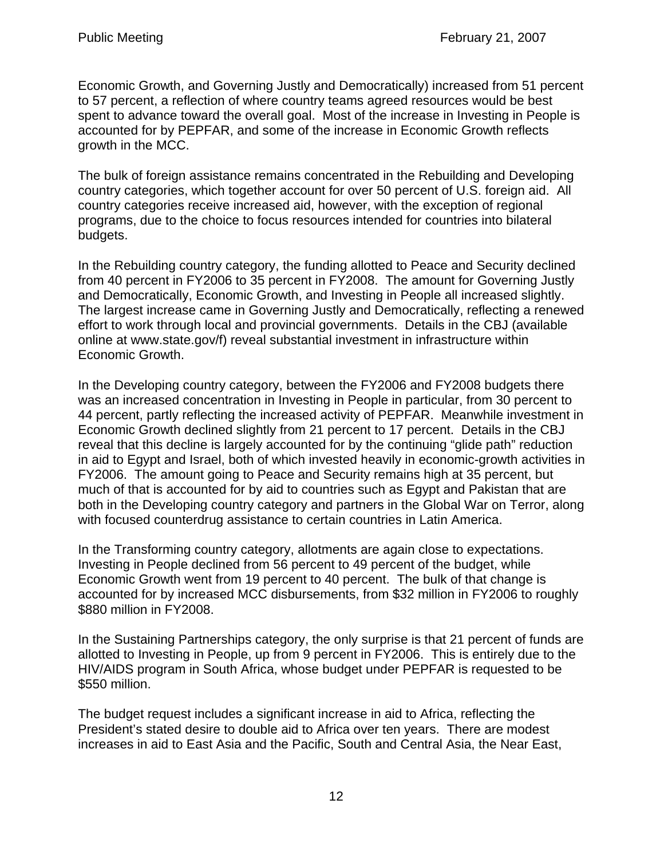Economic Growth, and Governing Justly and Democratically) increased from 51 percent to 57 percent, a reflection of where country teams agreed resources would be best spent to advance toward the overall goal. Most of the increase in Investing in People is accounted for by PEPFAR, and some of the increase in Economic Growth reflects growth in the MCC.

The bulk of foreign assistance remains concentrated in the Rebuilding and Developing country categories, which together account for over 50 percent of U.S. foreign aid. All country categories receive increased aid, however, with the exception of regional programs, due to the choice to focus resources intended for countries into bilateral budgets.

In the Rebuilding country category, the funding allotted to Peace and Security declined from 40 percent in FY2006 to 35 percent in FY2008. The amount for Governing Justly and Democratically, Economic Growth, and Investing in People all increased slightly. The largest increase came in Governing Justly and Democratically, reflecting a renewed effort to work through local and provincial governments. Details in the CBJ (available online at www.state.gov/f) reveal substantial investment in infrastructure within Economic Growth.

In the Developing country category, between the FY2006 and FY2008 budgets there was an increased concentration in Investing in People in particular, from 30 percent to 44 percent, partly reflecting the increased activity of PEPFAR. Meanwhile investment in Economic Growth declined slightly from 21 percent to 17 percent. Details in the CBJ reveal that this decline is largely accounted for by the continuing "glide path" reduction in aid to Egypt and Israel, both of which invested heavily in economic-growth activities in FY2006. The amount going to Peace and Security remains high at 35 percent, but much of that is accounted for by aid to countries such as Egypt and Pakistan that are both in the Developing country category and partners in the Global War on Terror, along with focused counterdrug assistance to certain countries in Latin America.

In the Transforming country category, allotments are again close to expectations. Investing in People declined from 56 percent to 49 percent of the budget, while Economic Growth went from 19 percent to 40 percent. The bulk of that change is accounted for by increased MCC disbursements, from \$32 million in FY2006 to roughly \$880 million in FY2008.

In the Sustaining Partnerships category, the only surprise is that 21 percent of funds are allotted to Investing in People, up from 9 percent in FY2006. This is entirely due to the HIV/AIDS program in South Africa, whose budget under PEPFAR is requested to be \$550 million.

The budget request includes a significant increase in aid to Africa, reflecting the President's stated desire to double aid to Africa over ten years. There are modest increases in aid to East Asia and the Pacific, South and Central Asia, the Near East,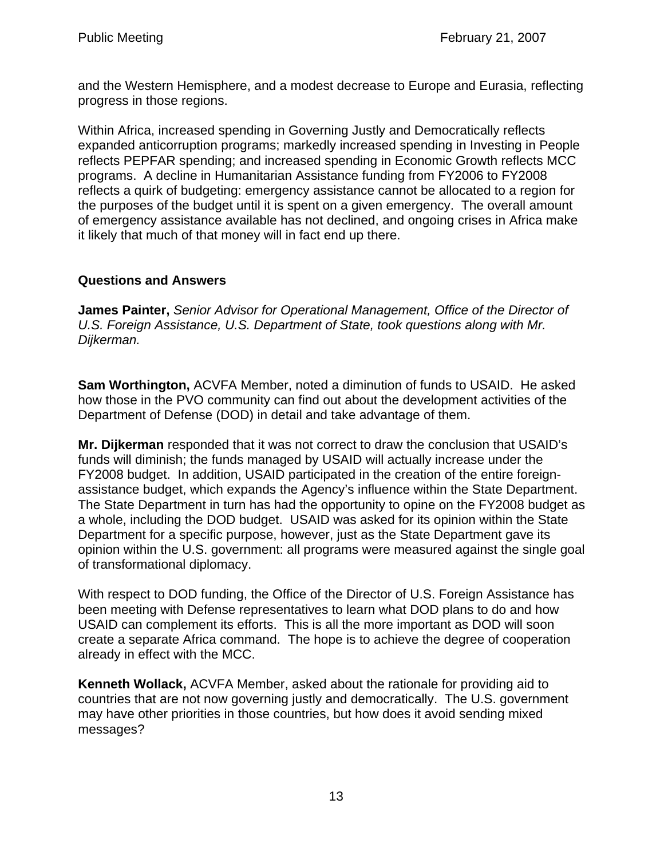and the Western Hemisphere, and a modest decrease to Europe and Eurasia, reflecting progress in those regions.

Within Africa, increased spending in Governing Justly and Democratically reflects expanded anticorruption programs; markedly increased spending in Investing in People reflects PEPFAR spending; and increased spending in Economic Growth reflects MCC programs. A decline in Humanitarian Assistance funding from FY2006 to FY2008 reflects a quirk of budgeting: emergency assistance cannot be allocated to a region for the purposes of the budget until it is spent on a given emergency. The overall amount of emergency assistance available has not declined, and ongoing crises in Africa make it likely that much of that money will in fact end up there.

## **Questions and Answers**

**James Painter,** *Senior Advisor for Operational Management, Office of the Director of U.S. Foreign Assistance, U.S. Department of State, took questions along with Mr. Dijkerman.*

**Sam Worthington,** ACVFA Member, noted a diminution of funds to USAID. He asked how those in the PVO community can find out about the development activities of the Department of Defense (DOD) in detail and take advantage of them.

**Mr. Dijkerman** responded that it was not correct to draw the conclusion that USAID's funds will diminish; the funds managed by USAID will actually increase under the FY2008 budget. In addition, USAID participated in the creation of the entire foreignassistance budget, which expands the Agency's influence within the State Department. The State Department in turn has had the opportunity to opine on the FY2008 budget as a whole, including the DOD budget. USAID was asked for its opinion within the State Department for a specific purpose, however, just as the State Department gave its opinion within the U.S. government: all programs were measured against the single goal of transformational diplomacy.

With respect to DOD funding, the Office of the Director of U.S. Foreign Assistance has been meeting with Defense representatives to learn what DOD plans to do and how USAID can complement its efforts. This is all the more important as DOD will soon create a separate Africa command. The hope is to achieve the degree of cooperation already in effect with the MCC.

**Kenneth Wollack,** ACVFA Member, asked about the rationale for providing aid to countries that are not now governing justly and democratically. The U.S. government may have other priorities in those countries, but how does it avoid sending mixed messages?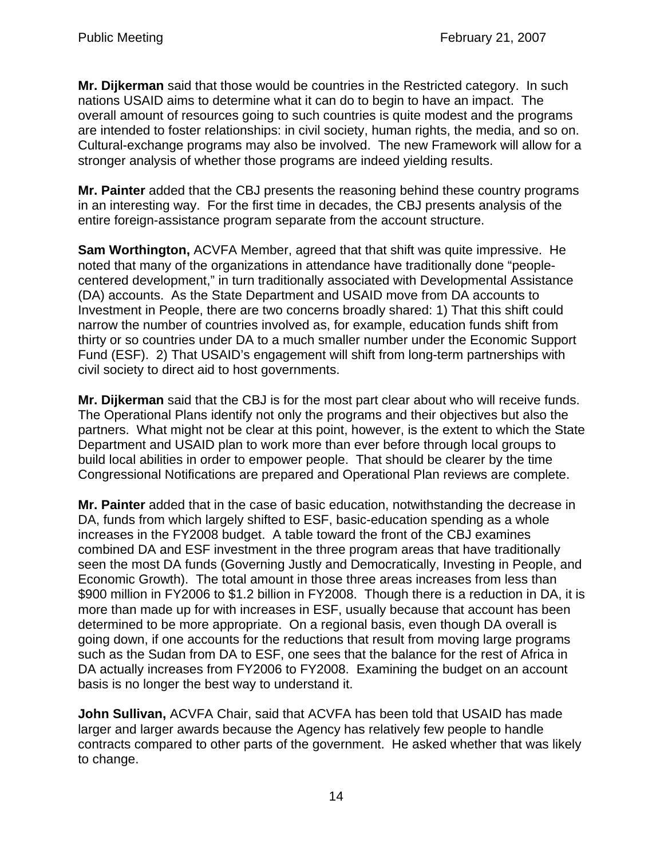**Mr. Dijkerman** said that those would be countries in the Restricted category. In such nations USAID aims to determine what it can do to begin to have an impact. The overall amount of resources going to such countries is quite modest and the programs are intended to foster relationships: in civil society, human rights, the media, and so on. Cultural-exchange programs may also be involved. The new Framework will allow for a stronger analysis of whether those programs are indeed yielding results.

**Mr. Painter** added that the CBJ presents the reasoning behind these country programs in an interesting way. For the first time in decades, the CBJ presents analysis of the entire foreign-assistance program separate from the account structure.

**Sam Worthington,** ACVFA Member, agreed that that shift was quite impressive. He noted that many of the organizations in attendance have traditionally done "peoplecentered development," in turn traditionally associated with Developmental Assistance (DA) accounts. As the State Department and USAID move from DA accounts to Investment in People, there are two concerns broadly shared: 1) That this shift could narrow the number of countries involved as, for example, education funds shift from thirty or so countries under DA to a much smaller number under the Economic Support Fund (ESF). 2) That USAID's engagement will shift from long-term partnerships with civil society to direct aid to host governments.

**Mr. Dijkerman** said that the CBJ is for the most part clear about who will receive funds. The Operational Plans identify not only the programs and their objectives but also the partners. What might not be clear at this point, however, is the extent to which the State Department and USAID plan to work more than ever before through local groups to build local abilities in order to empower people. That should be clearer by the time Congressional Notifications are prepared and Operational Plan reviews are complete.

**Mr. Painter** added that in the case of basic education, notwithstanding the decrease in DA, funds from which largely shifted to ESF, basic-education spending as a whole increases in the FY2008 budget. A table toward the front of the CBJ examines combined DA and ESF investment in the three program areas that have traditionally seen the most DA funds (Governing Justly and Democratically, Investing in People, and Economic Growth). The total amount in those three areas increases from less than \$900 million in FY2006 to \$1.2 billion in FY2008. Though there is a reduction in DA, it is more than made up for with increases in ESF, usually because that account has been determined to be more appropriate. On a regional basis, even though DA overall is going down, if one accounts for the reductions that result from moving large programs such as the Sudan from DA to ESF, one sees that the balance for the rest of Africa in DA actually increases from FY2006 to FY2008. Examining the budget on an account basis is no longer the best way to understand it.

**John Sullivan,** ACVFA Chair, said that ACVFA has been told that USAID has made larger and larger awards because the Agency has relatively few people to handle contracts compared to other parts of the government. He asked whether that was likely to change.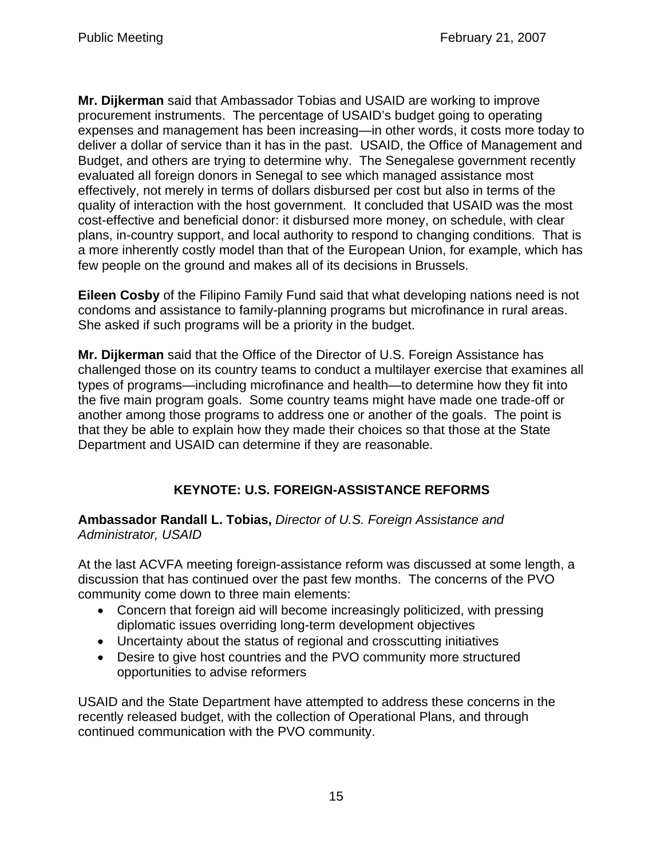**Mr. Dijkerman** said that Ambassador Tobias and USAID are working to improve procurement instruments. The percentage of USAID's budget going to operating expenses and management has been increasing—in other words, it costs more today to deliver a dollar of service than it has in the past. USAID, the Office of Management and Budget, and others are trying to determine why. The Senegalese government recently evaluated all foreign donors in Senegal to see which managed assistance most effectively, not merely in terms of dollars disbursed per cost but also in terms of the quality of interaction with the host government. It concluded that USAID was the most cost-effective and beneficial donor: it disbursed more money, on schedule, with clear plans, in-country support, and local authority to respond to changing conditions. That is a more inherently costly model than that of the European Union, for example, which has few people on the ground and makes all of its decisions in Brussels.

**Eileen Cosby** of the Filipino Family Fund said that what developing nations need is not condoms and assistance to family-planning programs but microfinance in rural areas. She asked if such programs will be a priority in the budget.

**Mr. Dijkerman** said that the Office of the Director of U.S. Foreign Assistance has challenged those on its country teams to conduct a multilayer exercise that examines all types of programs—including microfinance and health—to determine how they fit into the five main program goals. Some country teams might have made one trade-off or another among those programs to address one or another of the goals. The point is that they be able to explain how they made their choices so that those at the State Department and USAID can determine if they are reasonable.

# **KEYNOTE: U.S. FOREIGN-ASSISTANCE REFORMS**

**Ambassador Randall L. Tobias,** *Director of U.S. Foreign Assistance and Administrator, USAID*

At the last ACVFA meeting foreign-assistance reform was discussed at some length, a discussion that has continued over the past few months. The concerns of the PVO community come down to three main elements:

- Concern that foreign aid will become increasingly politicized, with pressing diplomatic issues overriding long-term development objectives
- Uncertainty about the status of regional and crosscutting initiatives
- Desire to give host countries and the PVO community more structured opportunities to advise reformers

USAID and the State Department have attempted to address these concerns in the recently released budget, with the collection of Operational Plans, and through continued communication with the PVO community.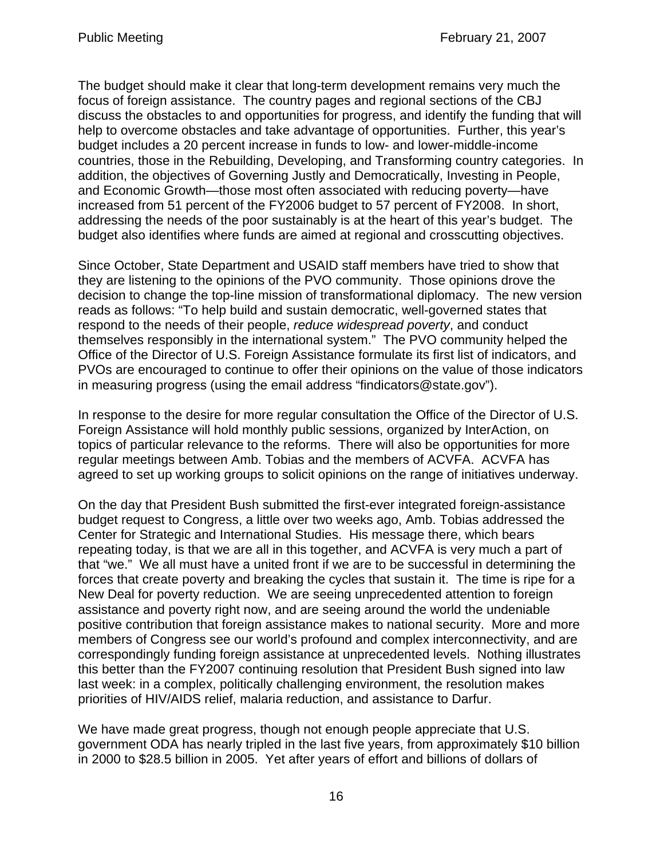The budget should make it clear that long-term development remains very much the focus of foreign assistance. The country pages and regional sections of the CBJ discuss the obstacles to and opportunities for progress, and identify the funding that will help to overcome obstacles and take advantage of opportunities. Further, this year's budget includes a 20 percent increase in funds to low- and lower-middle-income countries, those in the Rebuilding, Developing, and Transforming country categories. In addition, the objectives of Governing Justly and Democratically, Investing in People, and Economic Growth—those most often associated with reducing poverty—have increased from 51 percent of the FY2006 budget to 57 percent of FY2008. In short, addressing the needs of the poor sustainably is at the heart of this year's budget. The budget also identifies where funds are aimed at regional and crosscutting objectives.

Since October, State Department and USAID staff members have tried to show that they are listening to the opinions of the PVO community. Those opinions drove the decision to change the top-line mission of transformational diplomacy. The new version reads as follows: "To help build and sustain democratic, well-governed states that respond to the needs of their people, *reduce widespread poverty*, and conduct themselves responsibly in the international system." The PVO community helped the Office of the Director of U.S. Foreign Assistance formulate its first list of indicators, and PVOs are encouraged to continue to offer their opinions on the value of those indicators in measuring progress (using the email address "findicators@state.gov").

In response to the desire for more regular consultation the Office of the Director of U.S. Foreign Assistance will hold monthly public sessions, organized by InterAction, on topics of particular relevance to the reforms. There will also be opportunities for more regular meetings between Amb. Tobias and the members of ACVFA. ACVFA has agreed to set up working groups to solicit opinions on the range of initiatives underway.

On the day that President Bush submitted the first-ever integrated foreign-assistance budget request to Congress, a little over two weeks ago, Amb. Tobias addressed the Center for Strategic and International Studies. His message there, which bears repeating today, is that we are all in this together, and ACVFA is very much a part of that "we." We all must have a united front if we are to be successful in determining the forces that create poverty and breaking the cycles that sustain it. The time is ripe for a New Deal for poverty reduction. We are seeing unprecedented attention to foreign assistance and poverty right now, and are seeing around the world the undeniable positive contribution that foreign assistance makes to national security. More and more members of Congress see our world's profound and complex interconnectivity, and are correspondingly funding foreign assistance at unprecedented levels. Nothing illustrates this better than the FY2007 continuing resolution that President Bush signed into law last week: in a complex, politically challenging environment, the resolution makes priorities of HIV/AIDS relief, malaria reduction, and assistance to Darfur.

We have made great progress, though not enough people appreciate that U.S. government ODA has nearly tripled in the last five years, from approximately \$10 billion in 2000 to \$28.5 billion in 2005. Yet after years of effort and billions of dollars of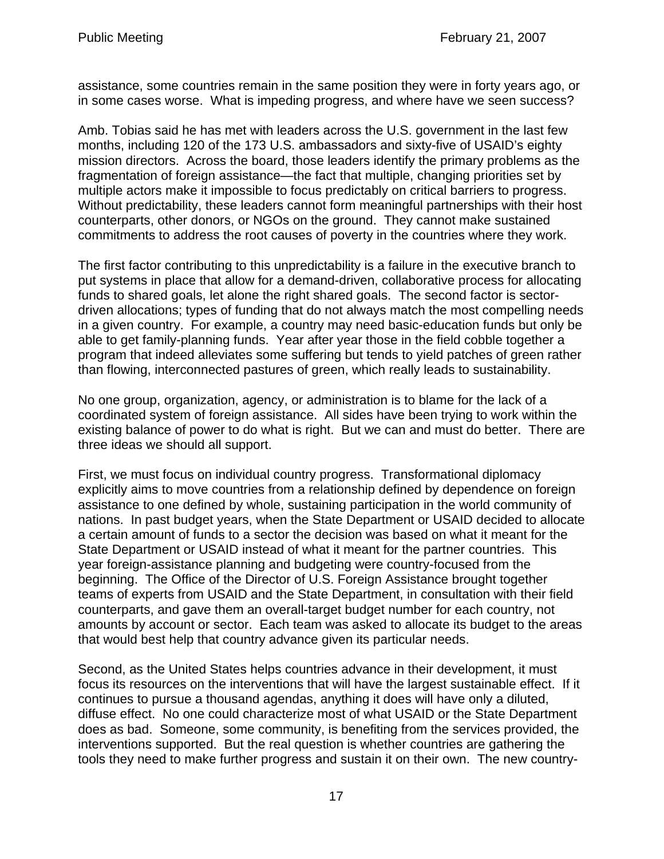assistance, some countries remain in the same position they were in forty years ago, or in some cases worse. What is impeding progress, and where have we seen success?

Amb. Tobias said he has met with leaders across the U.S. government in the last few months, including 120 of the 173 U.S. ambassadors and sixty-five of USAID's eighty mission directors. Across the board, those leaders identify the primary problems as the fragmentation of foreign assistance—the fact that multiple, changing priorities set by multiple actors make it impossible to focus predictably on critical barriers to progress. Without predictability, these leaders cannot form meaningful partnerships with their host counterparts, other donors, or NGOs on the ground. They cannot make sustained commitments to address the root causes of poverty in the countries where they work.

The first factor contributing to this unpredictability is a failure in the executive branch to put systems in place that allow for a demand-driven, collaborative process for allocating funds to shared goals, let alone the right shared goals. The second factor is sectordriven allocations; types of funding that do not always match the most compelling needs in a given country. For example, a country may need basic-education funds but only be able to get family-planning funds. Year after year those in the field cobble together a program that indeed alleviates some suffering but tends to yield patches of green rather than flowing, interconnected pastures of green, which really leads to sustainability.

No one group, organization, agency, or administration is to blame for the lack of a coordinated system of foreign assistance. All sides have been trying to work within the existing balance of power to do what is right. But we can and must do better. There are three ideas we should all support.

First, we must focus on individual country progress. Transformational diplomacy explicitly aims to move countries from a relationship defined by dependence on foreign assistance to one defined by whole, sustaining participation in the world community of nations. In past budget years, when the State Department or USAID decided to allocate a certain amount of funds to a sector the decision was based on what it meant for the State Department or USAID instead of what it meant for the partner countries. This year foreign-assistance planning and budgeting were country-focused from the beginning. The Office of the Director of U.S. Foreign Assistance brought together teams of experts from USAID and the State Department, in consultation with their field counterparts, and gave them an overall-target budget number for each country, not amounts by account or sector. Each team was asked to allocate its budget to the areas that would best help that country advance given its particular needs.

Second, as the United States helps countries advance in their development, it must focus its resources on the interventions that will have the largest sustainable effect. If it continues to pursue a thousand agendas, anything it does will have only a diluted, diffuse effect. No one could characterize most of what USAID or the State Department does as bad. Someone, some community, is benefiting from the services provided, the interventions supported. But the real question is whether countries are gathering the tools they need to make further progress and sustain it on their own. The new country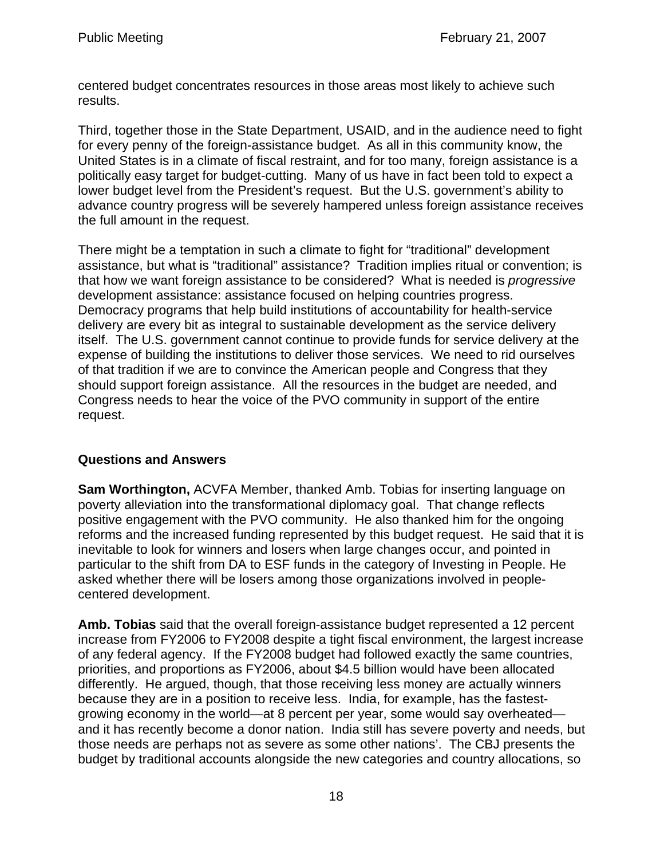centered budget concentrates resources in those areas most likely to achieve such results.

Third, together those in the State Department, USAID, and in the audience need to fight for every penny of the foreign-assistance budget. As all in this community know, the United States is in a climate of fiscal restraint, and for too many, foreign assistance is a politically easy target for budget-cutting. Many of us have in fact been told to expect a lower budget level from the President's request. But the U.S. government's ability to advance country progress will be severely hampered unless foreign assistance receives the full amount in the request.

There might be a temptation in such a climate to fight for "traditional" development assistance, but what is "traditional" assistance? Tradition implies ritual or convention; is that how we want foreign assistance to be considered? What is needed is *progressive* development assistance: assistance focused on helping countries progress. Democracy programs that help build institutions of accountability for health-service delivery are every bit as integral to sustainable development as the service delivery itself. The U.S. government cannot continue to provide funds for service delivery at the expense of building the institutions to deliver those services. We need to rid ourselves of that tradition if we are to convince the American people and Congress that they should support foreign assistance. All the resources in the budget are needed, and Congress needs to hear the voice of the PVO community in support of the entire request.

### **Questions and Answers**

**Sam Worthington,** ACVFA Member, thanked Amb. Tobias for inserting language on poverty alleviation into the transformational diplomacy goal. That change reflects positive engagement with the PVO community. He also thanked him for the ongoing reforms and the increased funding represented by this budget request. He said that it is inevitable to look for winners and losers when large changes occur, and pointed in particular to the shift from DA to ESF funds in the category of Investing in People. He asked whether there will be losers among those organizations involved in peoplecentered development.

**Amb. Tobias** said that the overall foreign-assistance budget represented a 12 percent increase from FY2006 to FY2008 despite a tight fiscal environment, the largest increase of any federal agency. If the FY2008 budget had followed exactly the same countries, priorities, and proportions as FY2006, about \$4.5 billion would have been allocated differently. He argued, though, that those receiving less money are actually winners because they are in a position to receive less. India, for example, has the fastestgrowing economy in the world—at 8 percent per year, some would say overheated and it has recently become a donor nation. India still has severe poverty and needs, but those needs are perhaps not as severe as some other nations'. The CBJ presents the budget by traditional accounts alongside the new categories and country allocations, so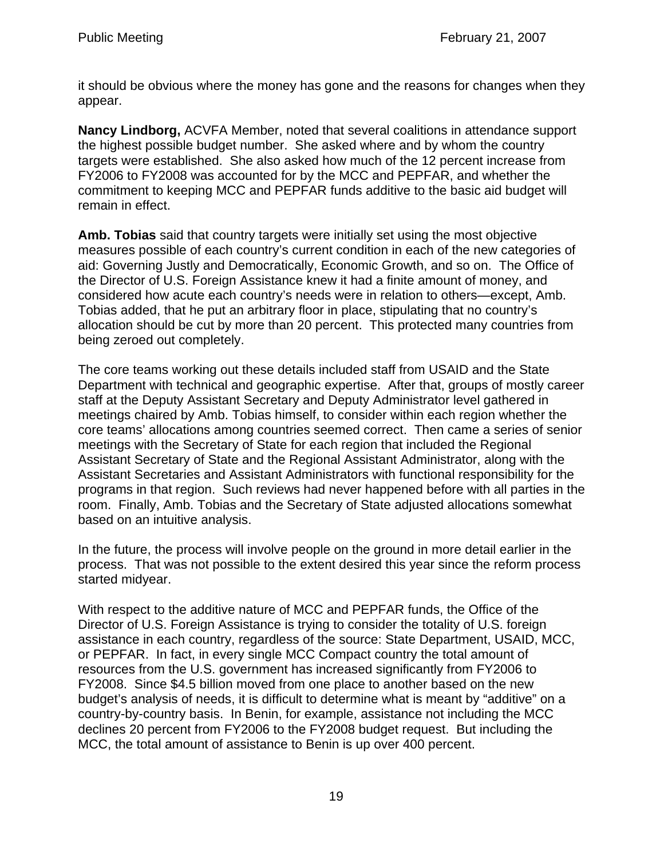it should be obvious where the money has gone and the reasons for changes when they appear.

**Nancy Lindborg,** ACVFA Member, noted that several coalitions in attendance support the highest possible budget number. She asked where and by whom the country targets were established. She also asked how much of the 12 percent increase from FY2006 to FY2008 was accounted for by the MCC and PEPFAR, and whether the commitment to keeping MCC and PEPFAR funds additive to the basic aid budget will remain in effect.

**Amb. Tobias** said that country targets were initially set using the most objective measures possible of each country's current condition in each of the new categories of aid: Governing Justly and Democratically, Economic Growth, and so on. The Office of the Director of U.S. Foreign Assistance knew it had a finite amount of money, and considered how acute each country's needs were in relation to others—except, Amb. Tobias added, that he put an arbitrary floor in place, stipulating that no country's allocation should be cut by more than 20 percent. This protected many countries from being zeroed out completely.

The core teams working out these details included staff from USAID and the State Department with technical and geographic expertise. After that, groups of mostly career staff at the Deputy Assistant Secretary and Deputy Administrator level gathered in meetings chaired by Amb. Tobias himself, to consider within each region whether the core teams' allocations among countries seemed correct. Then came a series of senior meetings with the Secretary of State for each region that included the Regional Assistant Secretary of State and the Regional Assistant Administrator, along with the Assistant Secretaries and Assistant Administrators with functional responsibility for the programs in that region. Such reviews had never happened before with all parties in the room. Finally, Amb. Tobias and the Secretary of State adjusted allocations somewhat based on an intuitive analysis.

In the future, the process will involve people on the ground in more detail earlier in the process. That was not possible to the extent desired this year since the reform process started midyear.

With respect to the additive nature of MCC and PEPFAR funds, the Office of the Director of U.S. Foreign Assistance is trying to consider the totality of U.S. foreign assistance in each country, regardless of the source: State Department, USAID, MCC, or PEPFAR. In fact, in every single MCC Compact country the total amount of resources from the U.S. government has increased significantly from FY2006 to FY2008. Since \$4.5 billion moved from one place to another based on the new budget's analysis of needs, it is difficult to determine what is meant by "additive" on a country-by-country basis. In Benin, for example, assistance not including the MCC declines 20 percent from FY2006 to the FY2008 budget request. But including the MCC, the total amount of assistance to Benin is up over 400 percent.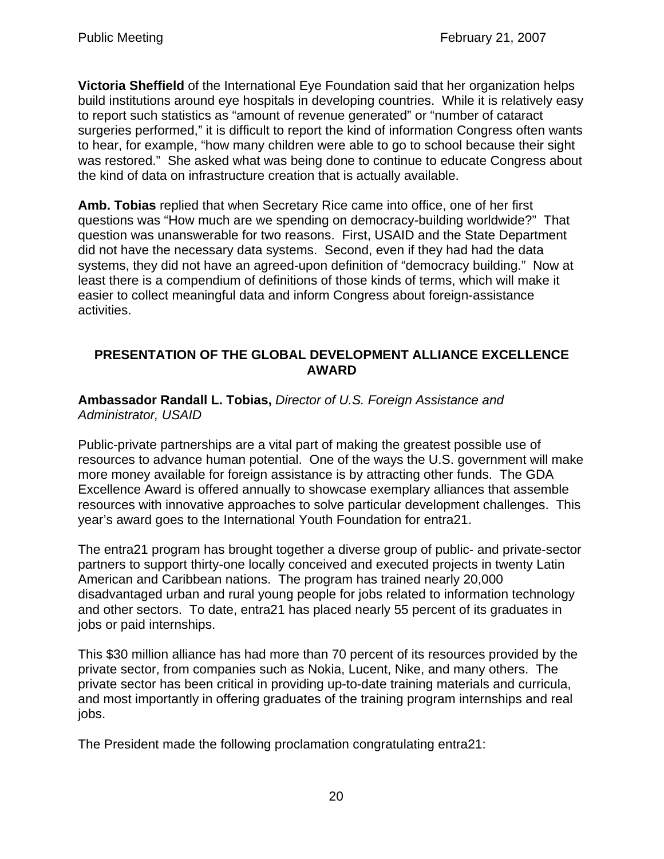**Victoria Sheffield** of the International Eye Foundation said that her organization helps build institutions around eye hospitals in developing countries. While it is relatively easy to report such statistics as "amount of revenue generated" or "number of cataract surgeries performed," it is difficult to report the kind of information Congress often wants to hear, for example, "how many children were able to go to school because their sight was restored." She asked what was being done to continue to educate Congress about the kind of data on infrastructure creation that is actually available.

**Amb. Tobias** replied that when Secretary Rice came into office, one of her first questions was "How much are we spending on democracy-building worldwide?" That question was unanswerable for two reasons. First, USAID and the State Department did not have the necessary data systems. Second, even if they had had the data systems, they did not have an agreed-upon definition of "democracy building." Now at least there is a compendium of definitions of those kinds of terms, which will make it easier to collect meaningful data and inform Congress about foreign-assistance activities.

### **PRESENTATION OF THE GLOBAL DEVELOPMENT ALLIANCE EXCELLENCE AWARD**

**Ambassador Randall L. Tobias,** *Director of U.S. Foreign Assistance and Administrator, USAID*

Public-private partnerships are a vital part of making the greatest possible use of resources to advance human potential. One of the ways the U.S. government will make more money available for foreign assistance is by attracting other funds. The GDA Excellence Award is offered annually to showcase exemplary alliances that assemble resources with innovative approaches to solve particular development challenges. This year's award goes to the International Youth Foundation for entra21.

The entra21 program has brought together a diverse group of public- and private-sector partners to support thirty-one locally conceived and executed projects in twenty Latin American and Caribbean nations. The program has trained nearly 20,000 disadvantaged urban and rural young people for jobs related to information technology and other sectors. To date, entra21 has placed nearly 55 percent of its graduates in jobs or paid internships.

This \$30 million alliance has had more than 70 percent of its resources provided by the private sector, from companies such as Nokia, Lucent, Nike, and many others. The private sector has been critical in providing up-to-date training materials and curricula, and most importantly in offering graduates of the training program internships and real jobs.

The President made the following proclamation congratulating entra21: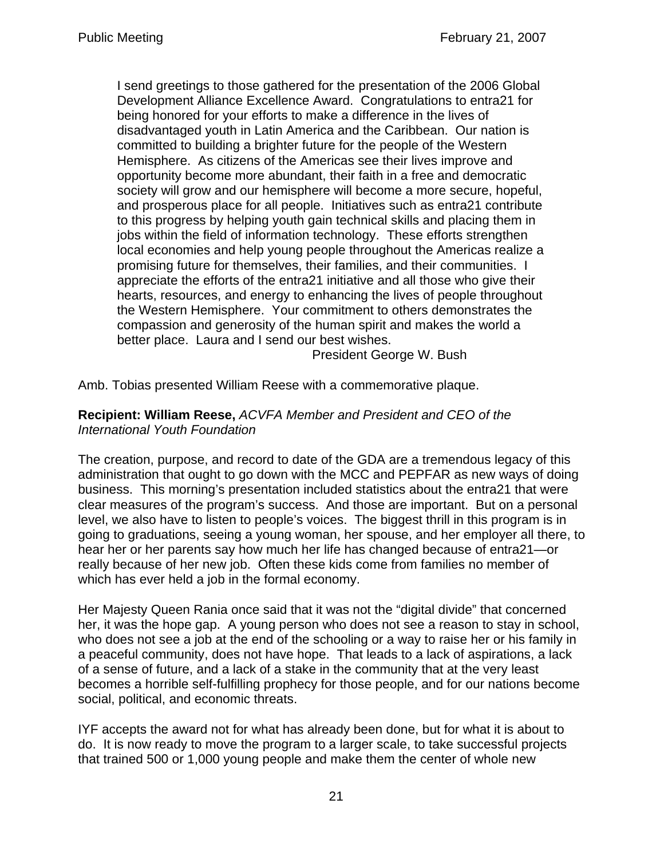I send greetings to those gathered for the presentation of the 2006 Global Development Alliance Excellence Award. Congratulations to entra21 for being honored for your efforts to make a difference in the lives of disadvantaged youth in Latin America and the Caribbean. Our nation is committed to building a brighter future for the people of the Western Hemisphere. As citizens of the Americas see their lives improve and opportunity become more abundant, their faith in a free and democratic society will grow and our hemisphere will become a more secure, hopeful, and prosperous place for all people. Initiatives such as entra21 contribute to this progress by helping youth gain technical skills and placing them in jobs within the field of information technology. These efforts strengthen local economies and help young people throughout the Americas realize a promising future for themselves, their families, and their communities. I appreciate the efforts of the entra21 initiative and all those who give their hearts, resources, and energy to enhancing the lives of people throughout the Western Hemisphere. Your commitment to others demonstrates the compassion and generosity of the human spirit and makes the world a better place. Laura and I send our best wishes.

President George W. Bush

Amb. Tobias presented William Reese with a commemorative plaque.

**Recipient: William Reese,** *ACVFA Member and President and CEO of the International Youth Foundation*

The creation, purpose, and record to date of the GDA are a tremendous legacy of this administration that ought to go down with the MCC and PEPFAR as new ways of doing business. This morning's presentation included statistics about the entra21 that were clear measures of the program's success. And those are important. But on a personal level, we also have to listen to people's voices. The biggest thrill in this program is in going to graduations, seeing a young woman, her spouse, and her employer all there, to hear her or her parents say how much her life has changed because of entra21—or really because of her new job. Often these kids come from families no member of which has ever held a job in the formal economy.

Her Majesty Queen Rania once said that it was not the "digital divide" that concerned her, it was the hope gap. A young person who does not see a reason to stay in school, who does not see a job at the end of the schooling or a way to raise her or his family in a peaceful community, does not have hope. That leads to a lack of aspirations, a lack of a sense of future, and a lack of a stake in the community that at the very least becomes a horrible self-fulfilling prophecy for those people, and for our nations become social, political, and economic threats.

IYF accepts the award not for what has already been done, but for what it is about to do. It is now ready to move the program to a larger scale, to take successful projects that trained 500 or 1,000 young people and make them the center of whole new